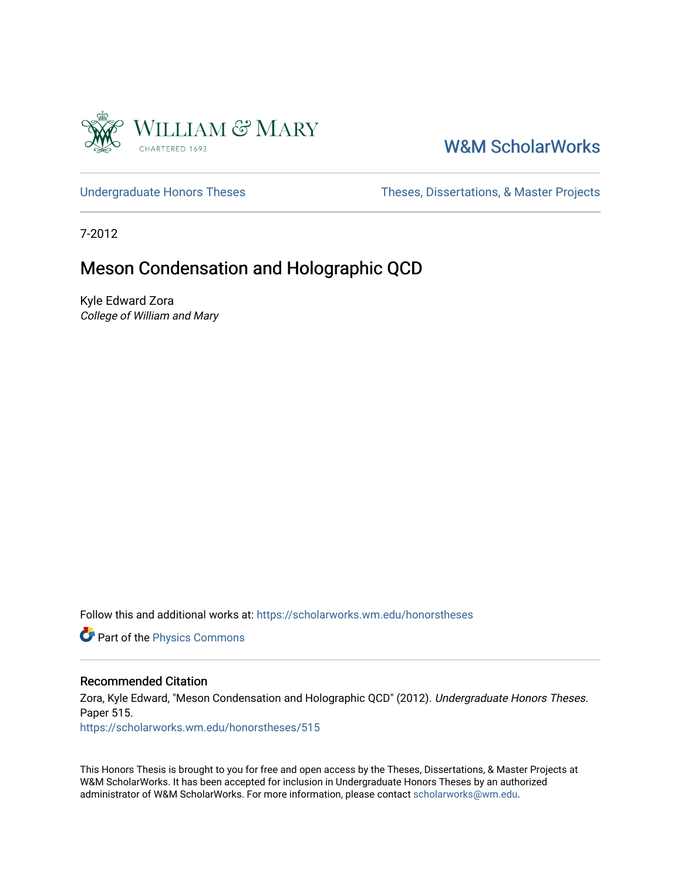

# [W&M ScholarWorks](https://scholarworks.wm.edu/)

[Undergraduate Honors Theses](https://scholarworks.wm.edu/honorstheses) Theses Theses, Dissertations, & Master Projects

7-2012

## Meson Condensation and Holographic QCD

Kyle Edward Zora College of William and Mary

Follow this and additional works at: [https://scholarworks.wm.edu/honorstheses](https://scholarworks.wm.edu/honorstheses?utm_source=scholarworks.wm.edu%2Fhonorstheses%2F515&utm_medium=PDF&utm_campaign=PDFCoverPages) 

**Part of the [Physics Commons](http://network.bepress.com/hgg/discipline/193?utm_source=scholarworks.wm.edu%2Fhonorstheses%2F515&utm_medium=PDF&utm_campaign=PDFCoverPages)** 

#### Recommended Citation

Zora, Kyle Edward, "Meson Condensation and Holographic QCD" (2012). Undergraduate Honors Theses. Paper 515.

[https://scholarworks.wm.edu/honorstheses/515](https://scholarworks.wm.edu/honorstheses/515?utm_source=scholarworks.wm.edu%2Fhonorstheses%2F515&utm_medium=PDF&utm_campaign=PDFCoverPages) 

This Honors Thesis is brought to you for free and open access by the Theses, Dissertations, & Master Projects at W&M ScholarWorks. It has been accepted for inclusion in Undergraduate Honors Theses by an authorized administrator of W&M ScholarWorks. For more information, please contact [scholarworks@wm.edu.](mailto:scholarworks@wm.edu)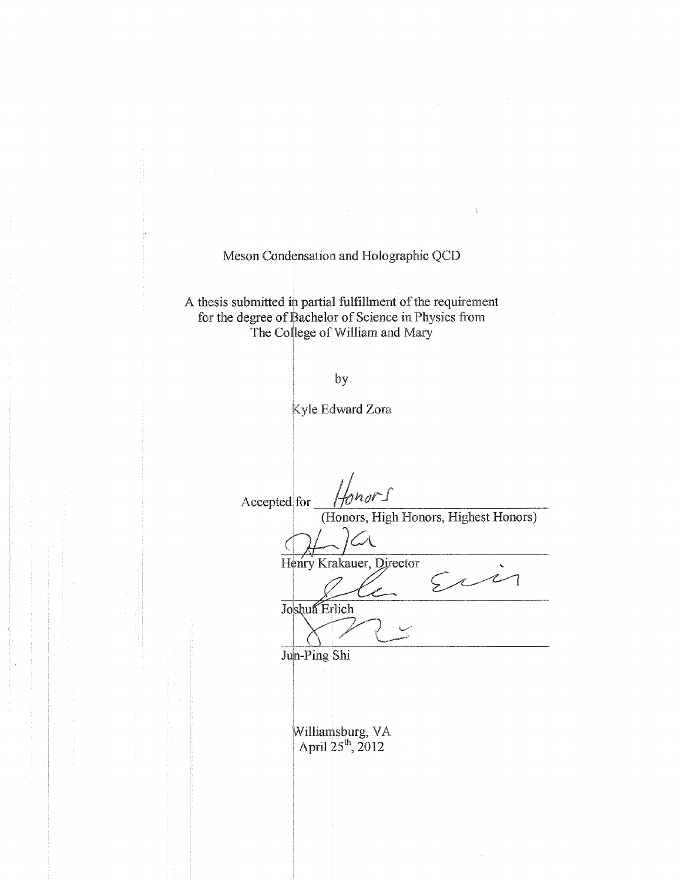Meson Condensation and Holographic QCD

A thesis submitted in partial fulfillment of the requirement for the degree of Bachelor of Science in Physics from The College of William and Mary

by

Kyle Edward Zora

 $n_0 r_1$ Accepted for (Honors, High Honors, Highest Honors) Henry Krakauer, Director  $522$ 7 Joshua Erlich Jun-Ping Shi Williamsburg, VA<br>April 25<sup>th</sup>, 2012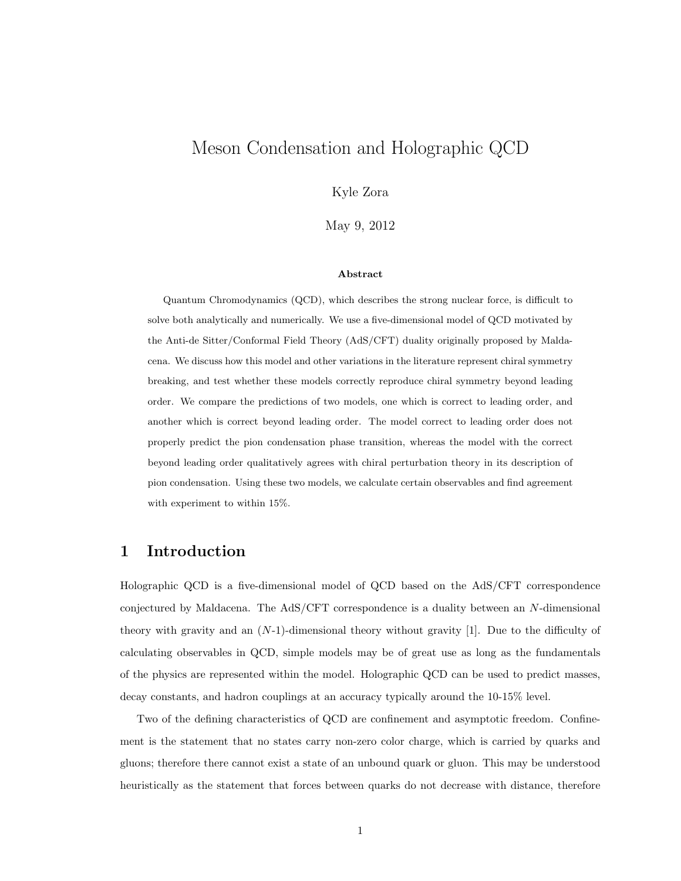## Meson Condensation and Holographic QCD

Kyle Zora

May 9, 2012

#### Abstract

Quantum Chromodynamics (QCD), which describes the strong nuclear force, is difficult to solve both analytically and numerically. We use a five-dimensional model of QCD motivated by the Anti-de Sitter/Conformal Field Theory (AdS/CFT) duality originally proposed by Maldacena. We discuss how this model and other variations in the literature represent chiral symmetry breaking, and test whether these models correctly reproduce chiral symmetry beyond leading order. We compare the predictions of two models, one which is correct to leading order, and another which is correct beyond leading order. The model correct to leading order does not properly predict the pion condensation phase transition, whereas the model with the correct beyond leading order qualitatively agrees with chiral perturbation theory in its description of pion condensation. Using these two models, we calculate certain observables and find agreement with experiment to within 15%.

### 1 Introduction

Holographic QCD is a five-dimensional model of QCD based on the AdS/CFT correspondence conjectured by Maldacena. The AdS/CFT correspondence is a duality between an N-dimensional theory with gravity and an  $(N-1)$ -dimensional theory without gravity [1]. Due to the difficulty of calculating observables in QCD, simple models may be of great use as long as the fundamentals of the physics are represented within the model. Holographic QCD can be used to predict masses, decay constants, and hadron couplings at an accuracy typically around the 10-15% level.

Two of the defining characteristics of QCD are confinement and asymptotic freedom. Confinement is the statement that no states carry non-zero color charge, which is carried by quarks and gluons; therefore there cannot exist a state of an unbound quark or gluon. This may be understood heuristically as the statement that forces between quarks do not decrease with distance, therefore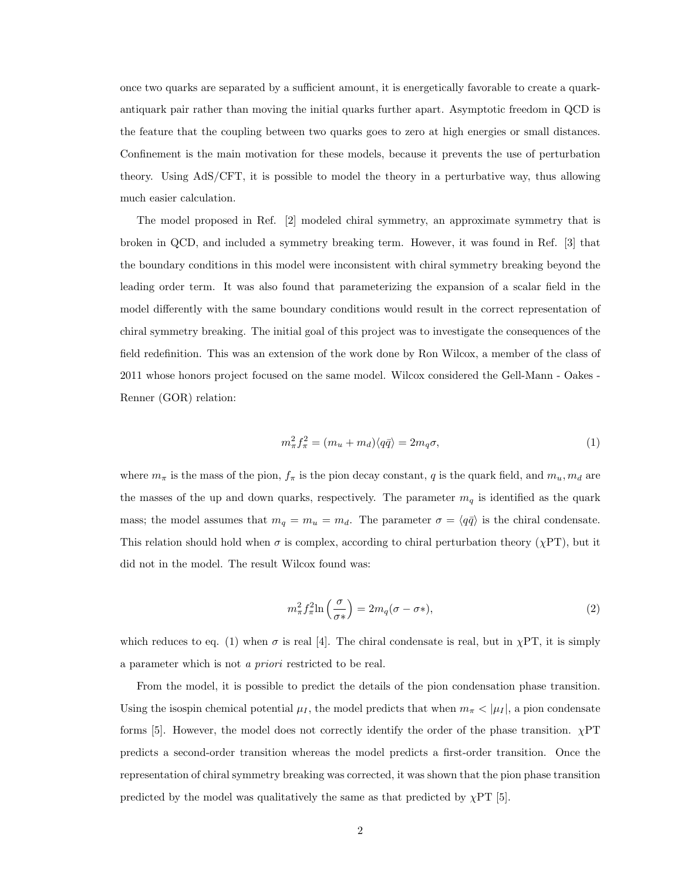once two quarks are separated by a sufficient amount, it is energetically favorable to create a quarkantiquark pair rather than moving the initial quarks further apart. Asymptotic freedom in QCD is the feature that the coupling between two quarks goes to zero at high energies or small distances. Confinement is the main motivation for these models, because it prevents the use of perturbation theory. Using AdS/CFT, it is possible to model the theory in a perturbative way, thus allowing much easier calculation.

The model proposed in Ref. [2] modeled chiral symmetry, an approximate symmetry that is broken in QCD, and included a symmetry breaking term. However, it was found in Ref. [3] that the boundary conditions in this model were inconsistent with chiral symmetry breaking beyond the leading order term. It was also found that parameterizing the expansion of a scalar field in the model differently with the same boundary conditions would result in the correct representation of chiral symmetry breaking. The initial goal of this project was to investigate the consequences of the field redefinition. This was an extension of the work done by Ron Wilcox, a member of the class of 2011 whose honors project focused on the same model. Wilcox considered the Gell-Mann - Oakes - Renner (GOR) relation:

$$
m_{\pi}^2 f_{\pi}^2 = (m_u + m_d) \langle q \bar{q} \rangle = 2m_q \sigma, \tag{1}
$$

where  $m_{\pi}$  is the mass of the pion,  $f_{\pi}$  is the pion decay constant, q is the quark field, and  $m_u, m_d$  are the masses of the up and down quarks, respectively. The parameter  $m_q$  is identified as the quark mass; the model assumes that  $m_q = m_u = m_d$ . The parameter  $\sigma = \langle q\bar{q}\rangle$  is the chiral condensate. This relation should hold when  $\sigma$  is complex, according to chiral perturbation theory ( $\chi PT$ ), but it did not in the model. The result Wilcox found was:

$$
m_{\pi}^{2} f_{\pi}^{2} \ln\left(\frac{\sigma}{\sigma*}\right) = 2m_{q}(\sigma - \sigma*),\tag{2}
$$

which reduces to eq. (1) when  $\sigma$  is real [4]. The chiral condensate is real, but in  $\chi PT$ , it is simply a parameter which is not a priori restricted to be real.

From the model, it is possible to predict the details of the pion condensation phase transition. Using the isospin chemical potential  $\mu_I$ , the model predicts that when  $m_\pi < |\mu_I|$ , a pion condensate forms [5]. However, the model does not correctly identify the order of the phase transition.  $\chi$ PT predicts a second-order transition whereas the model predicts a first-order transition. Once the representation of chiral symmetry breaking was corrected, it was shown that the pion phase transition predicted by the model was qualitatively the same as that predicted by  $\chi PT$  [5].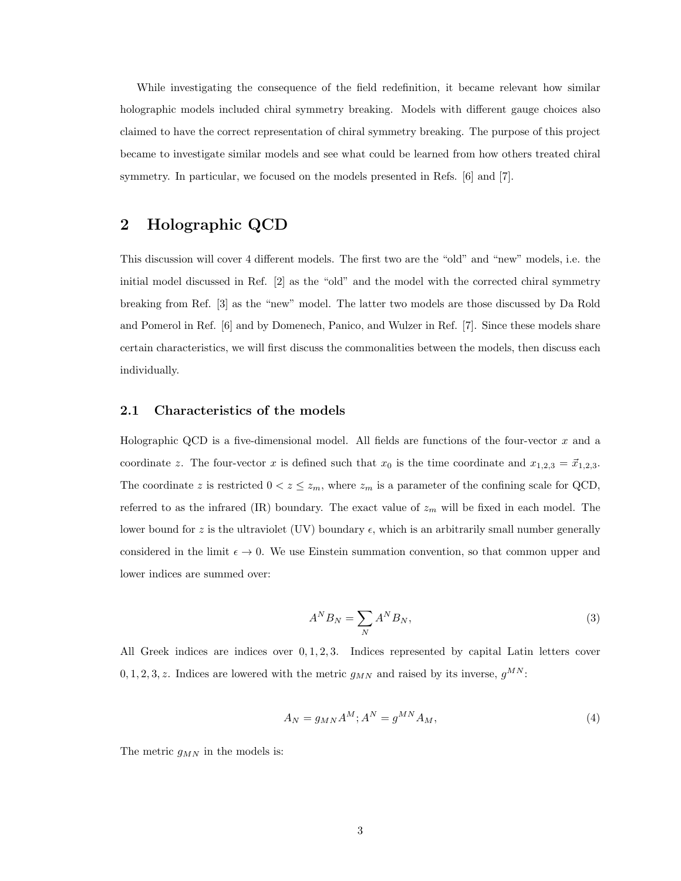While investigating the consequence of the field redefinition, it became relevant how similar holographic models included chiral symmetry breaking. Models with different gauge choices also claimed to have the correct representation of chiral symmetry breaking. The purpose of this project became to investigate similar models and see what could be learned from how others treated chiral symmetry. In particular, we focused on the models presented in Refs. [6] and [7].

### 2 Holographic QCD

This discussion will cover 4 different models. The first two are the "old" and "new" models, i.e. the initial model discussed in Ref. [2] as the "old" and the model with the corrected chiral symmetry breaking from Ref. [3] as the "new" model. The latter two models are those discussed by Da Rold and Pomerol in Ref. [6] and by Domenech, Panico, and Wulzer in Ref. [7]. Since these models share certain characteristics, we will first discuss the commonalities between the models, then discuss each individually.

#### 2.1 Characteristics of the models

Holographic QCD is a five-dimensional model. All fields are functions of the four-vector  $x$  and a coordinate z. The four-vector x is defined such that  $x_0$  is the time coordinate and  $x_{1,2,3} = \vec{x}_{1,2,3}$ . The coordinate z is restricted  $0 < z \leq z_m$ , where  $z_m$  is a parameter of the confining scale for QCD, referred to as the infrared (IR) boundary. The exact value of  $z_m$  will be fixed in each model. The lower bound for z is the ultraviolet (UV) boundary  $\epsilon$ , which is an arbitrarily small number generally considered in the limit  $\epsilon \to 0$ . We use Einstein summation convention, so that common upper and lower indices are summed over:

$$
A^N B_N = \sum_N A^N B_N,\tag{3}
$$

All Greek indices are indices over  $0, 1, 2, 3$ . Indices represented by capital Latin letters cover  $0, 1, 2, 3, z$ . Indices are lowered with the metric  $g_{MN}$  and raised by its inverse,  $g^{MN}$ :

$$
A_N = g_{MN}A^M; A^N = g^{MN}A_M,
$$
\n<sup>(4)</sup>

The metric  $g_{MN}$  in the models is: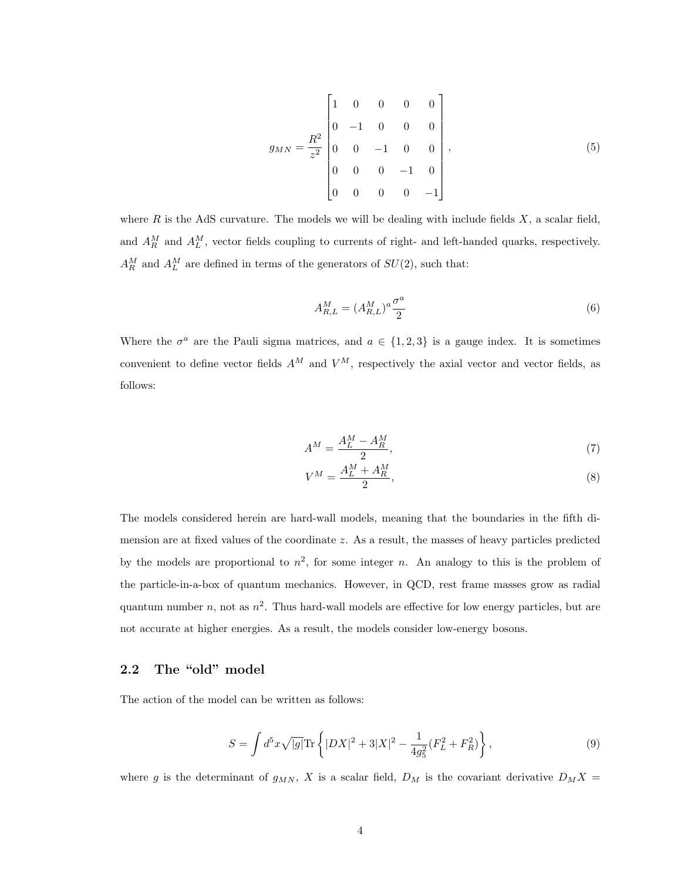$$
g_{MN} = \frac{R^2}{z^2} \begin{bmatrix} 1 & 0 & 0 & 0 & 0 \\ 0 & -1 & 0 & 0 & 0 \\ 0 & 0 & -1 & 0 & 0 \\ 0 & 0 & 0 & -1 & 0 \\ 0 & 0 & 0 & 0 & -1 \end{bmatrix},
$$
(5)

where  $R$  is the AdS curvature. The models we will be dealing with include fields  $X$ , a scalar field, and  $A_R^M$  and  $A_L^M$ , vector fields coupling to currents of right- and left-handed quarks, respectively.  $A_R^M$  and  $A_L^M$  are defined in terms of the generators of  $SU(2)$ , such that:

$$
A_{R,L}^M = (A_{R,L}^M)^a \frac{\sigma^a}{2} \tag{6}
$$

Where the  $\sigma^a$  are the Pauli sigma matrices, and  $a \in \{1,2,3\}$  is a gauge index. It is sometimes convenient to define vector fields  $A^M$  and  $V^M$ , respectively the axial vector and vector fields, as follows:

$$
A^M = \frac{A_L^M - A_R^M}{2},\tag{7}
$$

$$
V^M = \frac{A_L^M + A_R^M}{2},\tag{8}
$$

The models considered herein are hard-wall models, meaning that the boundaries in the fifth dimension are at fixed values of the coordinate z. As a result, the masses of heavy particles predicted by the models are proportional to  $n^2$ , for some integer n. An analogy to this is the problem of the particle-in-a-box of quantum mechanics. However, in QCD, rest frame masses grow as radial quantum number n, not as  $n^2$ . Thus hard-wall models are effective for low energy particles, but are not accurate at higher energies. As a result, the models consider low-energy bosons.

### 2.2 The "old" model

The action of the model can be written as follows:

$$
S = \int d^5x \sqrt{|g|} \text{Tr} \left\{ |DX|^2 + 3|X|^2 - \frac{1}{4g_5^2} (F_L^2 + F_R^2) \right\},\tag{9}
$$

where g is the determinant of  $g_{MN}$ , X is a scalar field,  $D_M$  is the covariant derivative  $D_M X =$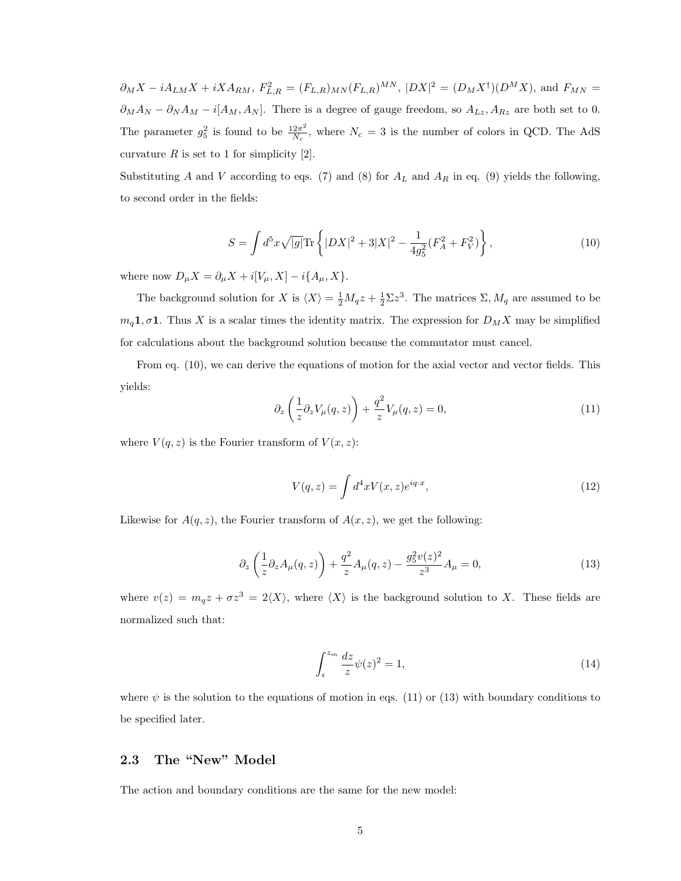$\partial_M X - iA_{LM}X + iXA_{RM}, F_{L,R}^2 = (F_{L,R})_{MN}(F_{L,R})^{MN}, |DX|^2 = (D_M X^{\dagger})(D^M X)$ , and  $F_{MN} =$  $\partial_M A_N - \partial_N A_M - i[A_M, A_N]$ . There is a degree of gauge freedom, so  $A_{Lz}$ ,  $A_{Rz}$  are both set to 0. The parameter  $g_5^2$  is found to be  $\frac{12\pi^2}{N_c}$  $\frac{2\pi^2}{N_c}$ , where  $N_c = 3$  is the number of colors in QCD. The AdS curvature  $R$  is set to 1 for simplicity [2].

Substituting A and V according to eqs. (7) and (8) for  $A_L$  and  $A_R$  in eq. (9) yields the following, to second order in the fields:

$$
S = \int d^5 x \sqrt{|g|} \text{Tr} \left\{ |DX|^2 + 3|X|^2 - \frac{1}{4g_5^2} (F_A^2 + F_V^2) \right\},\tag{10}
$$

where now  $D_{\mu}X = \partial_{\mu}X + i[V_{\mu}, X] - i\{A_{\mu}, X\}.$ 

The background solution for X is  $\langle X \rangle = \frac{1}{2}M_qz + \frac{1}{2}\Sigma z^3$ . The matrices  $\Sigma$ ,  $M_q$  are assumed to be  $m_q 1, \sigma 1$ . Thus X is a scalar times the identity matrix. The expression for  $D_M X$  may be simplified for calculations about the background solution because the commutator must cancel.

From eq. (10), we can derive the equations of motion for the axial vector and vector fields. This yields:

$$
\partial_z \left( \frac{1}{z} \partial_z V_\mu(q, z) \right) + \frac{q^2}{z} V_\mu(q, z) = 0, \tag{11}
$$

where  $V(q, z)$  is the Fourier transform of  $V(x, z)$ :

$$
V(q,z) = \int d^4x V(x,z)e^{iq \cdot x},\qquad(12)
$$

Likewise for  $A(q, z)$ , the Fourier transform of  $A(x, z)$ , we get the following:

$$
\partial_z \left( \frac{1}{z} \partial_z A_\mu(q, z) \right) + \frac{q^2}{z} A_\mu(q, z) - \frac{g_5^2 v(z)^2}{z^3} A_\mu = 0, \tag{13}
$$

where  $v(z) = m_q z + \sigma z^3 = 2\langle X \rangle$ , where  $\langle X \rangle$  is the background solution to X. These fields are normalized such that:

$$
\int_{\epsilon}^{z_m} \frac{dz}{z} \psi(z)^2 = 1,\tag{14}
$$

where  $\psi$  is the solution to the equations of motion in eqs. (11) or (13) with boundary conditions to be specified later.

### 2.3 The "New" Model

The action and boundary conditions are the same for the new model: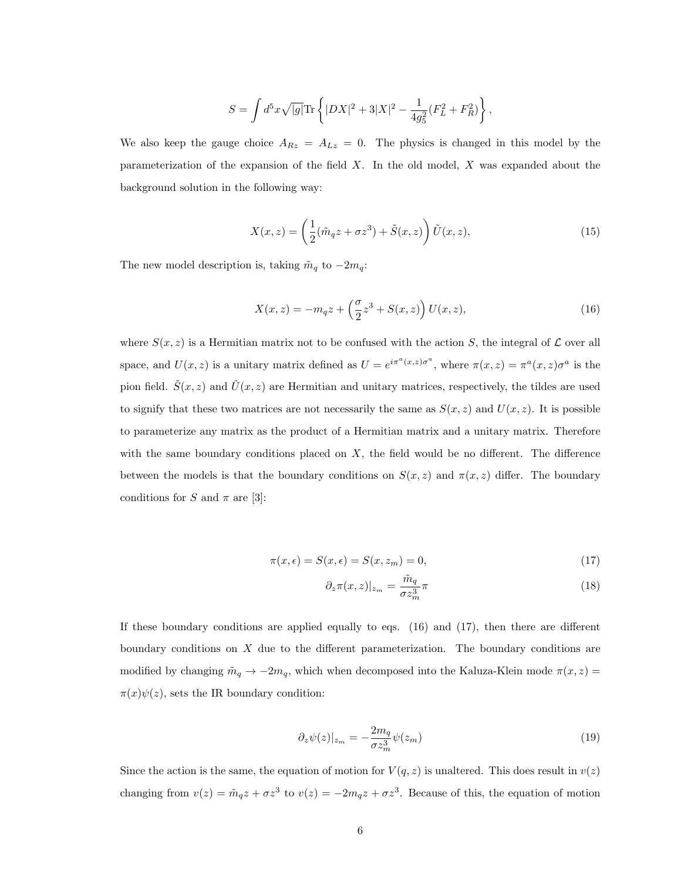$$
S = \int d^5x \sqrt{|g|} \text{Tr} \left\{ |DX|^2 + 3|X|^2 - \frac{1}{4g_5^2} (F_L^2 + F_R^2) \right\},\,
$$

We also keep the gauge choice  $A_{Rz} = A_{Lz} = 0$ . The physics is changed in this model by the parameterization of the expansion of the field X. In the old model, X was expanded about the background solution in the following way:

$$
X(x,z) = \left(\frac{1}{2}(\tilde{m}_q z + \sigma z^3) + \tilde{S}(x,z)\right)\tilde{U}(x,z),\tag{15}
$$

The new model description is, taking  $\tilde{m}_q$  to  $-2m_q$ :

$$
X(x, z) = -m_q z + \left(\frac{\sigma}{2} z^3 + S(x, z)\right) U(x, z),\tag{16}
$$

where  $S(x, z)$  is a Hermitian matrix not to be confused with the action S, the integral of  $\mathcal L$  over all space, and  $U(x, z)$  is a unitary matrix defined as  $U = e^{i\pi^a(x,z)\sigma^a}$ , where  $\pi(x, z) = \pi^a(x, z)\sigma^a$  is the pion field.  $\tilde{S}(x, z)$  and  $\tilde{U}(x, z)$  are Hermitian and unitary matrices, respectively, the tildes are used to signify that these two matrices are not necessarily the same as  $S(x, z)$  and  $U(x, z)$ . It is possible to parameterize any matrix as the product of a Hermitian matrix and a unitary matrix. Therefore with the same boundary conditions placed on  $X$ , the field would be no different. The difference between the models is that the boundary conditions on  $S(x, z)$  and  $\pi(x, z)$  differ. The boundary conditions for S and  $\pi$  are [3]:

$$
\pi(x,\epsilon) = S(x,\epsilon) = S(x,z_m) = 0,\tag{17}
$$

$$
\partial_z \pi(x, z)|_{z_m} = \frac{\tilde{m}_q}{\sigma z_m^3} \pi \tag{18}
$$

If these boundary conditions are applied equally to eqs. (16) and (17), then there are different boundary conditions on  $X$  due to the different parameterization. The boundary conditions are modified by changing  $\tilde{m}_q \to -2m_q$ , which when decomposed into the Kaluza-Klein mode  $\pi(x, z) =$  $\pi(x)\psi(z)$ , sets the IR boundary condition:

$$
\partial_z \psi(z)|_{z_m} = -\frac{2m_q}{\sigma z_m^3} \psi(z_m) \tag{19}
$$

Since the action is the same, the equation of motion for  $V(q, z)$  is unaltered. This does result in  $v(z)$ changing from  $v(z) = \tilde{m}_q z + \sigma z^3$  to  $v(z) = -2m_q z + \sigma z^3$ . Because of this, the equation of motion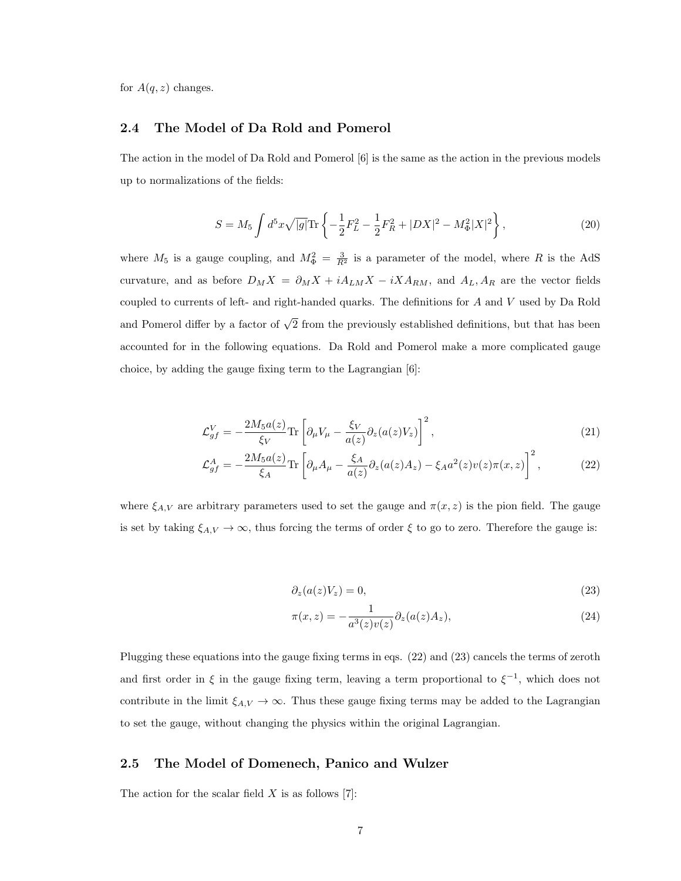for  $A(q, z)$  changes.

#### 2.4 The Model of Da Rold and Pomerol

The action in the model of Da Rold and Pomerol [6] is the same as the action in the previous models up to normalizations of the fields:

$$
S = M_5 \int d^5 x \sqrt{|g|} \text{Tr} \left\{ -\frac{1}{2} F_L^2 - \frac{1}{2} F_R^2 + |DX|^2 - M_\Phi^2 |X|^2 \right\},\tag{20}
$$

where  $M_5$  is a gauge coupling, and  $M_{\Phi}^2 = \frac{3}{R^2}$  is a parameter of the model, where R is the AdS curvature, and as before  $D_M X = \partial_M X + iA_{LM}X - iXA_{RM}$ , and  $A_L, A_R$  are the vector fields coupled to currents of left- and right-handed quarks. The definitions for A and V used by Da Rold and Pomerol differ by a factor of  $\sqrt{2}$  from the previously established definitions, but that has been accounted for in the following equations. Da Rold and Pomerol make a more complicated gauge choice, by adding the gauge fixing term to the Lagrangian [6]:

$$
\mathcal{L}_{gf}^{V} = -\frac{2M_5 a(z)}{\xi_V} \text{Tr} \left[ \partial_{\mu} V_{\mu} - \frac{\xi_V}{a(z)} \partial_z (a(z)V_z) \right]^2, \tag{21}
$$

$$
\mathcal{L}_{gf}^{A} = -\frac{2M_{5}a(z)}{\xi_{A}} \text{Tr} \left[ \partial_{\mu} A_{\mu} - \frac{\xi_{A}}{a(z)} \partial_{z} (a(z)A_{z}) - \xi_{A} a^{2}(z) v(z) \pi(x, z) \right]^{2}, \qquad (22)
$$

where  $\xi_{A,V}$  are arbitrary parameters used to set the gauge and  $\pi(x, z)$  is the pion field. The gauge is set by taking  $\xi_{A,V} \to \infty$ , thus forcing the terms of order  $\xi$  to go to zero. Therefore the gauge is:

$$
\partial_z(a(z)V_z) = 0,\t\t(23)
$$

$$
\pi(x,z) = -\frac{1}{a^3(z)v(z)} \partial_z(a(z)A_z),\tag{24}
$$

Plugging these equations into the gauge fixing terms in eqs. (22) and (23) cancels the terms of zeroth and first order in  $\xi$  in the gauge fixing term, leaving a term proportional to  $\xi^{-1}$ , which does not contribute in the limit  $\xi_{A,V} \to \infty$ . Thus these gauge fixing terms may be added to the Lagrangian to set the gauge, without changing the physics within the original Lagrangian.

#### 2.5 The Model of Domenech, Panico and Wulzer

The action for the scalar field  $X$  is as follows [7]: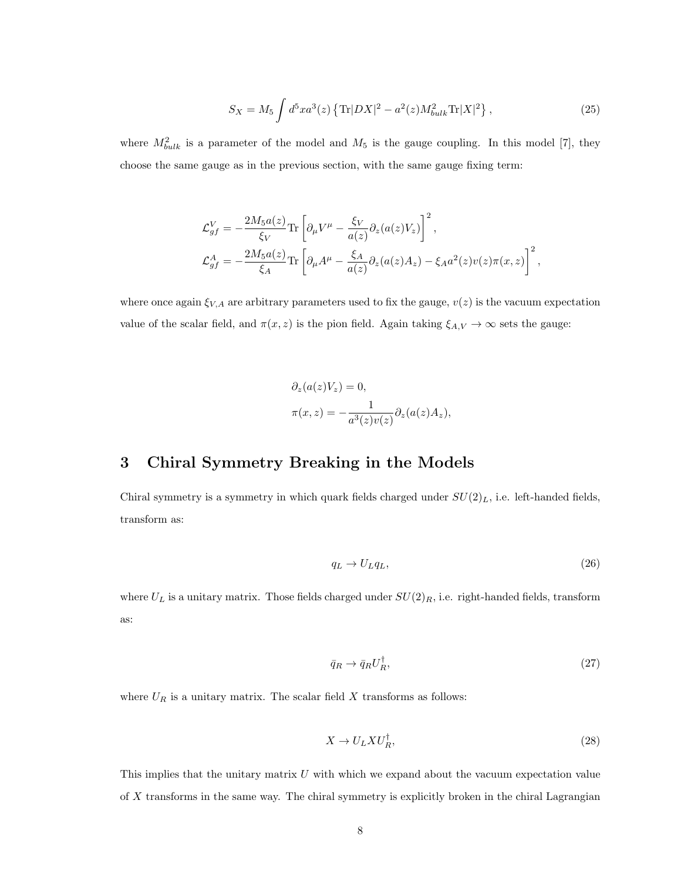$$
S_X = M_5 \int d^5 x a^3(z) \left\{ \text{Tr} |DX|^2 - a^2(z) M_{bulk}^2 \text{Tr} |X|^2 \right\},\tag{25}
$$

where  $M_{bulk}^2$  is a parameter of the model and  $M_5$  is the gauge coupling. In this model [7], they choose the same gauge as in the previous section, with the same gauge fixing term:

$$
\begin{split} \mathcal{L}^V_{gf} &= -\frac{2M_5a(z)}{\xi_V} \text{Tr}\left[\partial_\mu V^\mu - \frac{\xi_V}{a(z)}\partial_z(a(z)V_z)\right]^2, \\ \mathcal{L}^A_{gf} &= -\frac{2M_5a(z)}{\xi_A} \text{Tr}\left[\partial_\mu A^\mu - \frac{\xi_A}{a(z)}\partial_z(a(z)A_z) - \xi_A a^2(z)v(z)\pi(x,z)\right]^2, \end{split}
$$

where once again  $\xi_{V,A}$  are arbitrary parameters used to fix the gauge,  $v(z)$  is the vacuum expectation value of the scalar field, and  $\pi(x, z)$  is the pion field. Again taking  $\xi_{A,V} \to \infty$  sets the gauge:

$$
\partial_z(a(z)V_z) = 0,
$$
  

$$
\pi(x, z) = -\frac{1}{a^3(z)v(z)} \partial_z(a(z)A_z),
$$

### 3 Chiral Symmetry Breaking in the Models

Chiral symmetry is a symmetry in which quark fields charged under  $SU(2)_L$ , i.e. left-handed fields, transform as:

$$
q_L \to U_L q_L, \tag{26}
$$

where  $U_L$  is a unitary matrix. Those fields charged under  $SU(2)_R$ , i.e. right-handed fields, transform as:

$$
\bar{q}_R \to \bar{q}_R U_R^{\dagger},\tag{27}
$$

where  ${\cal U}_{\cal R}$  is a unitary matrix. The scalar field  $X$  transforms as follows:

$$
X \to U_L X U_R^{\dagger}, \tag{28}
$$

This implies that the unitary matrix  $U$  with which we expand about the vacuum expectation value of X transforms in the same way. The chiral symmetry is explicitly broken in the chiral Lagrangian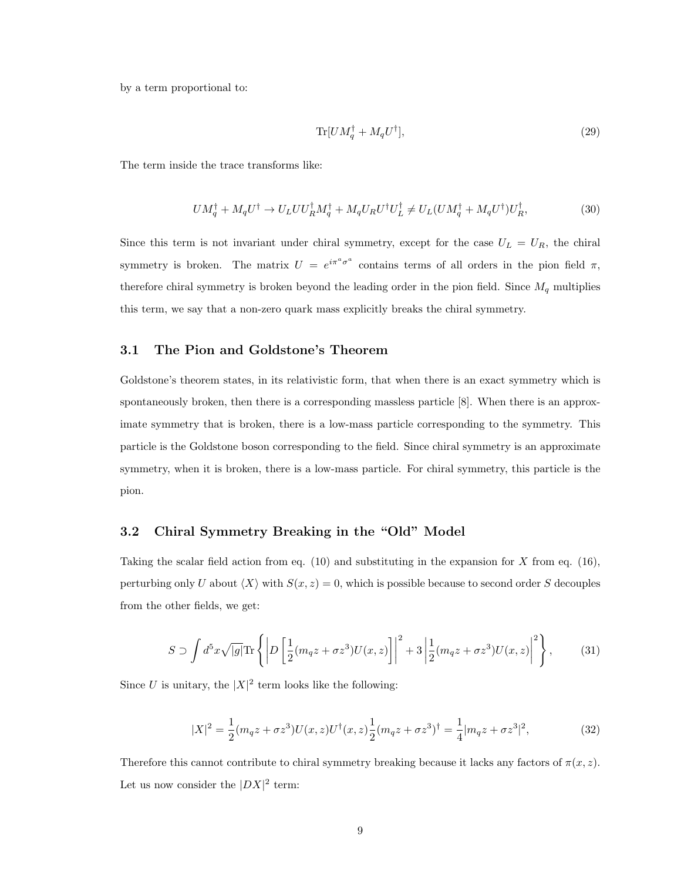by a term proportional to:

$$
\text{Tr}[U M_q^\dagger + M_q U^\dagger],\tag{29}
$$

The term inside the trace transforms like:

$$
UM_q^{\dagger} + M_q U^{\dagger} \to U_L U U_R^{\dagger} M_q^{\dagger} + M_q U_R U^{\dagger} U_L^{\dagger} \neq U_L (U M_q^{\dagger} + M_q U^{\dagger}) U_R^{\dagger},\tag{30}
$$

Since this term is not invariant under chiral symmetry, except for the case  $U_L = U_R$ , the chiral symmetry is broken. The matrix  $U = e^{i\pi^a \sigma^a}$  contains terms of all orders in the pion field  $\pi$ , therefore chiral symmetry is broken beyond the leading order in the pion field. Since  $M_q$  multiplies this term, we say that a non-zero quark mass explicitly breaks the chiral symmetry.

#### 3.1 The Pion and Goldstone's Theorem

Goldstone's theorem states, in its relativistic form, that when there is an exact symmetry which is spontaneously broken, then there is a corresponding massless particle [8]. When there is an approximate symmetry that is broken, there is a low-mass particle corresponding to the symmetry. This particle is the Goldstone boson corresponding to the field. Since chiral symmetry is an approximate symmetry, when it is broken, there is a low-mass particle. For chiral symmetry, this particle is the pion.

#### 3.2 Chiral Symmetry Breaking in the "Old" Model

Taking the scalar field action from eq.  $(10)$  and substituting in the expansion for X from eq.  $(16)$ , perturbing only U about  $\langle X \rangle$  with  $S(x, z) = 0$ , which is possible because to second order S decouples from the other fields, we get:

$$
S \supset \int d^5x \sqrt{|g|} \text{Tr}\left\{ \left| D\left[\frac{1}{2}(m_q z + \sigma z^3)U(x, z)\right] \right|^2 + 3\left| \frac{1}{2}(m_q z + \sigma z^3)U(x, z)\right|^2 \right\},\tag{31}
$$

Since U is unitary, the  $|X|^2$  term looks like the following:

$$
|X|^2 = \frac{1}{2}(m_q z + \sigma z^3)U(x, z)U^{\dagger}(x, z)\frac{1}{2}(m_q z + \sigma z^3)^{\dagger} = \frac{1}{4}|m_q z + \sigma z^3|^2,
$$
\n(32)

Therefore this cannot contribute to chiral symmetry breaking because it lacks any factors of  $\pi(x, z)$ . Let us now consider the  $|DX|^2$  term: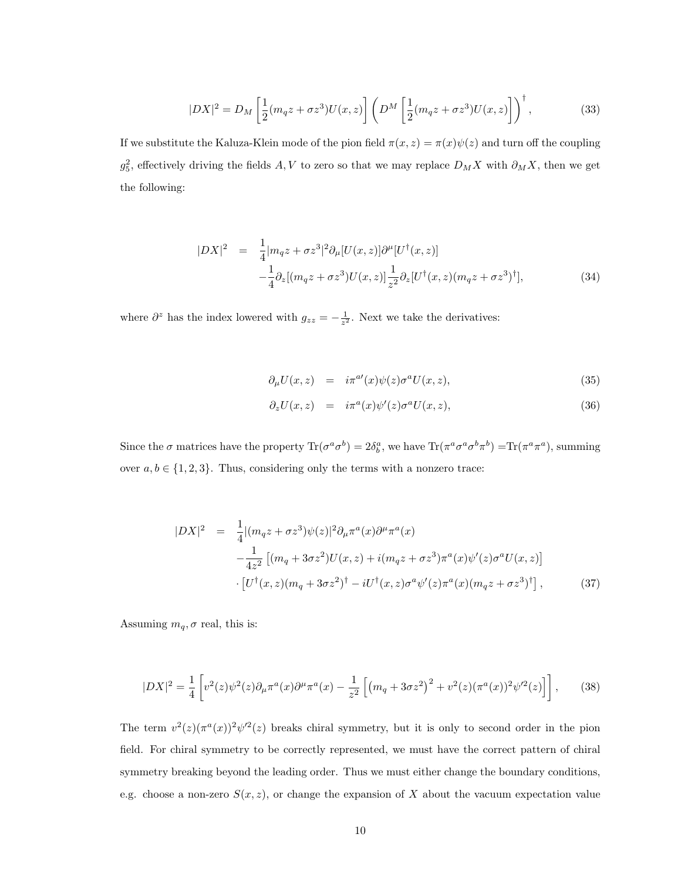$$
|DX|^2 = D_M \left[\frac{1}{2}(m_q z + \sigma z^3)U(x,z)\right] \left(D^M \left[\frac{1}{2}(m_q z + \sigma z^3)U(x,z)\right]\right)^{\dagger},\tag{33}
$$

If we substitute the Kaluza-Klein mode of the pion field  $\pi(x, z) = \pi(x)\psi(z)$  and turn off the coupling  $g_5^2$ , effectively driving the fields  $A, V$  to zero so that we may replace  $D_M X$  with  $\partial_M X$ , then we get the following:

$$
|DX|^2 = \frac{1}{4}|m_q z + \sigma z^3|^2 \partial_\mu [U(x, z)] \partial^\mu [U^\dagger (x, z)]
$$
  

$$
-\frac{1}{4} \partial_z [(m_q z + \sigma z^3) U(x, z)] \frac{1}{z^2} \partial_z [U^\dagger (x, z) (m_q z + \sigma z^3)^\dagger],
$$
(34)

where  $\partial^z$  has the index lowered with  $g_{zz} = -\frac{1}{z^2}$ . Next we take the derivatives:

$$
\partial_{\mu} U(x, z) = i\pi^{a'}(x)\psi(z)\sigma^{a}U(x, z), \qquad (35)
$$

$$
\partial_z U(x, z) = i\pi^a(x)\psi'(z)\sigma^a U(x, z), \qquad (36)
$$

Since the  $\sigma$  matrices have the property  $\text{Tr}(\sigma^a \sigma^b) = 2\delta_b^a$ , we have  $\text{Tr}(\pi^a \sigma^a \sigma^b \pi^b) = \text{Tr}(\pi^a \pi^a)$ , summing over  $a, b \in \{1, 2, 3\}$ . Thus, considering only the terms with a nonzero trace:

$$
|DX|^2 = \frac{1}{4} |(m_q z + \sigma z^3) \psi(z)|^2 \partial_\mu \pi^a(x) \partial^\mu \pi^a(x)
$$
  
 
$$
-\frac{1}{4z^2} [(m_q + 3\sigma z^2)U(x, z) + i(m_q z + \sigma z^3) \pi^a(x) \psi'(z) \sigma^a U(x, z)]
$$
  
 
$$
\cdot [U^{\dagger}(x, z)(m_q + 3\sigma z^2)^{\dagger} - iU^{\dagger}(x, z) \sigma^a \psi'(z) \pi^a(x) (m_q z + \sigma z^3)^{\dagger}], \qquad (37)
$$

Assuming  $m_q$ ,  $\sigma$  real, this is:

$$
|DX|^2 = \frac{1}{4} \left[ v^2(z)\psi^2(z)\partial_\mu \pi^a(x)\partial^\mu \pi^a(x) - \frac{1}{z^2} \left[ \left( m_q + 3\sigma z^2 \right)^2 + v^2(z) (\pi^a(x))^2 \psi'^2(z) \right] \right],\tag{38}
$$

The term  $v^2(z) (\pi^a(x))^2 \psi^{\prime\prime}(z)$  breaks chiral symmetry, but it is only to second order in the pion field. For chiral symmetry to be correctly represented, we must have the correct pattern of chiral symmetry breaking beyond the leading order. Thus we must either change the boundary conditions, e.g. choose a non-zero  $S(x, z)$ , or change the expansion of X about the vacuum expectation value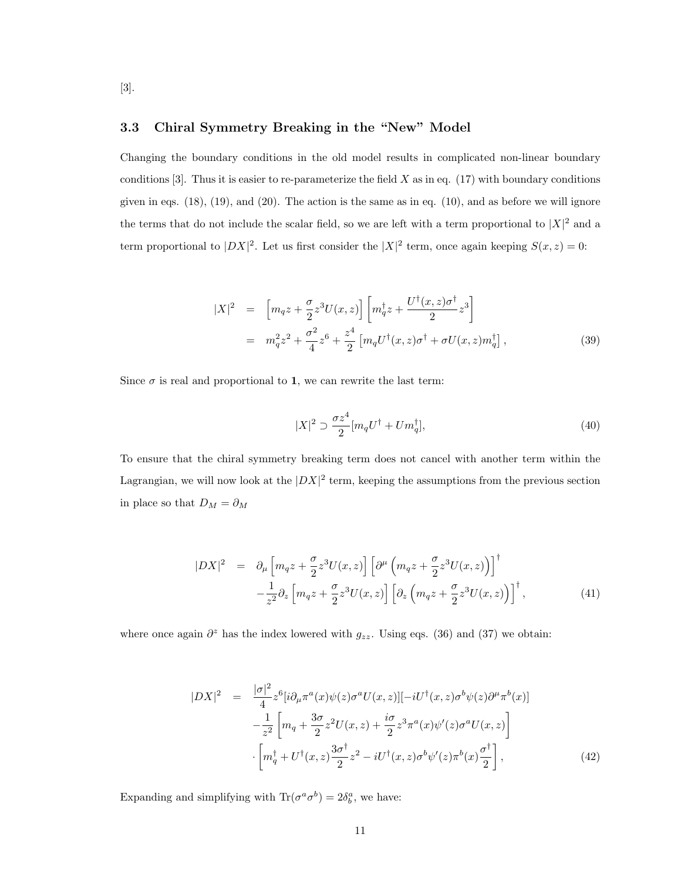### 3.3 Chiral Symmetry Breaking in the "New" Model

[3].

Changing the boundary conditions in the old model results in complicated non-linear boundary conditions [3]. Thus it is easier to re-parameterize the field  $X$  as in eq. (17) with boundary conditions given in eqs.  $(18)$ ,  $(19)$ , and  $(20)$ . The action is the same as in eq.  $(10)$ , and as before we will ignore the terms that do not include the scalar field, so we are left with a term proportional to  $|X|^2$  and a term proportional to  $|DX|^2$ . Let us first consider the  $|X|^2$  term, once again keeping  $S(x, z) = 0$ :

$$
|X|^2 = \left[m_q z + \frac{\sigma}{2} z^3 U(x, z)\right] \left[m_q^{\dagger} z + \frac{U^{\dagger}(x, z)\sigma^{\dagger}}{2} z^3\right]
$$
  

$$
= m_q^2 z^2 + \frac{\sigma^2}{4} z^6 + \frac{z^4}{2} \left[m_q U^{\dagger}(x, z)\sigma^{\dagger} + \sigma U(x, z)m_q^{\dagger}\right],
$$
(39)

Since  $\sigma$  is real and proportional to 1, we can rewrite the last term:

$$
|X|^2 \supset \frac{\sigma z^4}{2} [m_q U^{\dagger} + U m_q^{\dagger}], \tag{40}
$$

To ensure that the chiral symmetry breaking term does not cancel with another term within the Lagrangian, we will now look at the  $|DX|^2$  term, keeping the assumptions from the previous section in place so that  $D_M = \partial_M$ 

$$
|DX|^2 = \partial_{\mu} \left[ m_q z + \frac{\sigma}{2} z^3 U(x, z) \right] \left[ \partial^{\mu} \left( m_q z + \frac{\sigma}{2} z^3 U(x, z) \right) \right]^{\dagger} - \frac{1}{z^2} \partial_z \left[ m_q z + \frac{\sigma}{2} z^3 U(x, z) \right] \left[ \partial_z \left( m_q z + \frac{\sigma}{2} z^3 U(x, z) \right) \right]^{\dagger},
$$
(41)

where once again  $\partial^z$  has the index lowered with  $g_{zz}$ . Using eqs. (36) and (37) we obtain:

$$
|DX|^2 = \frac{|\sigma|^2}{4} z^6 [i\partial_\mu \pi^a(x)\psi(z)\sigma^a U(x,z)] [-iU^\dagger(x,z)\sigma^b \psi(z)\partial^\mu \pi^b(x)]
$$
  

$$
-\frac{1}{z^2} \left[ m_q + \frac{3\sigma}{2} z^2 U(x,z) + \frac{i\sigma}{2} z^3 \pi^a(x)\psi'(z)\sigma^a U(x,z) \right]
$$
  

$$
\cdot \left[ m_q^\dagger + U^\dagger(x,z) \frac{3\sigma^\dagger}{2} z^2 - iU^\dagger(x,z)\sigma^b \psi'(z)\pi^b(x) \frac{\sigma^\dagger}{2} \right],
$$
 (42)

Expanding and simplifying with  $\text{Tr}(\sigma^a \sigma^b) = 2\delta_b^a$ , we have:

11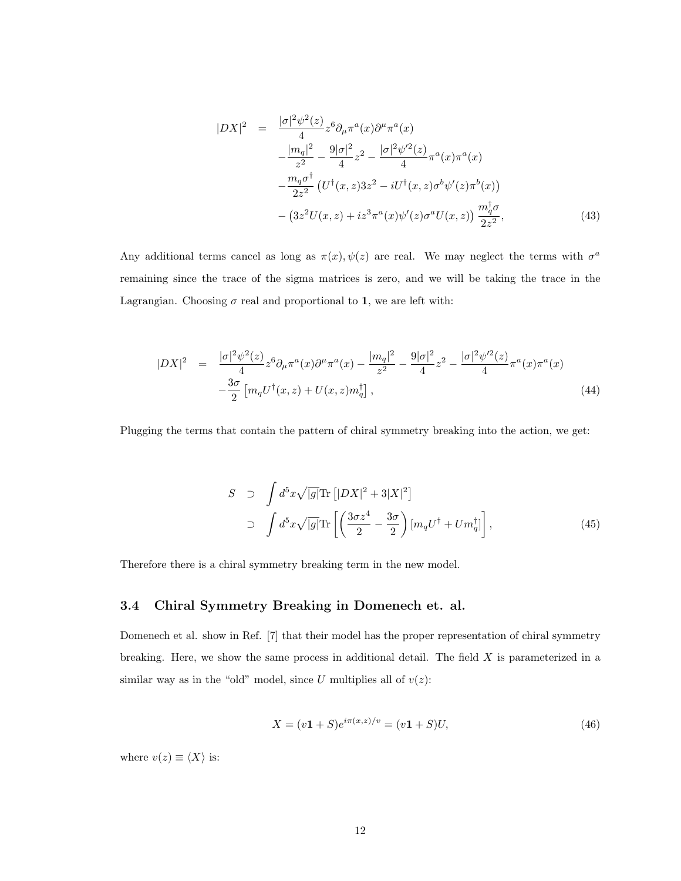$$
|DX|^2 = \frac{|\sigma|^2 \psi^2(z)}{4} z^6 \partial_\mu \pi^a(x) \partial^\mu \pi^a(x)
$$
  

$$
-\frac{|m_q|^2}{z^2} - \frac{9|\sigma|^2}{4} z^2 - \frac{|\sigma|^2 \psi'^2(z)}{4} \pi^a(x) \pi^a(x)
$$
  

$$
-\frac{m_q \sigma^{\dagger}}{2z^2} \left( U^{\dagger}(x, z) 3z^2 - iU^{\dagger}(x, z) \sigma^b \psi'(z) \pi^b(x) \right)
$$
  

$$
- \left(3z^2 U(x, z) + iz^3 \pi^a(x) \psi'(z) \sigma^a U(x, z) \right) \frac{m_q^{\dagger} \sigma}{2z^2},
$$
(43)

Any additional terms cancel as long as  $\pi(x), \psi(z)$  are real. We may neglect the terms with  $\sigma^a$ remaining since the trace of the sigma matrices is zero, and we will be taking the trace in the Lagrangian. Choosing  $\sigma$  real and proportional to 1, we are left with:

$$
|DX|^2 = \frac{|\sigma|^2 \psi^2(z)}{4} z^6 \partial_\mu \pi^a(x) \partial^\mu \pi^a(x) - \frac{|m_q|^2}{z^2} - \frac{9|\sigma|^2}{4} z^2 - \frac{|\sigma|^2 \psi'^2(z)}{4} \pi^a(x) \pi^a(x) -\frac{3\sigma}{2} \left[ m_q U^\dagger(x, z) + U(x, z) m_q^\dagger \right],
$$
\n(44)

Plugging the terms that contain the pattern of chiral symmetry breaking into the action, we get:

$$
S \supset \int d^5x \sqrt{|g|} \text{Tr} \left[ |DX|^2 + 3|X|^2 \right]
$$
  
\n
$$
\supset \int d^5x \sqrt{|g|} \text{Tr} \left[ \left( \frac{3\sigma z^4}{2} - \frac{3\sigma}{2} \right) [m_q U^{\dagger} + U m_q^{\dagger}] \right],
$$
\n(45)

Therefore there is a chiral symmetry breaking term in the new model.

#### 3.4 Chiral Symmetry Breaking in Domenech et. al.

Domenech et al. show in Ref. [7] that their model has the proper representation of chiral symmetry breaking. Here, we show the same process in additional detail. The field X is parameterized in a similar way as in the "old" model, since U multiplies all of  $v(z)$ :

$$
X = (v1 + S)e^{i\pi(x,z)/v} = (v1 + S)U,
$$
\n(46)

where  $v(z) \equiv \langle X \rangle$  is: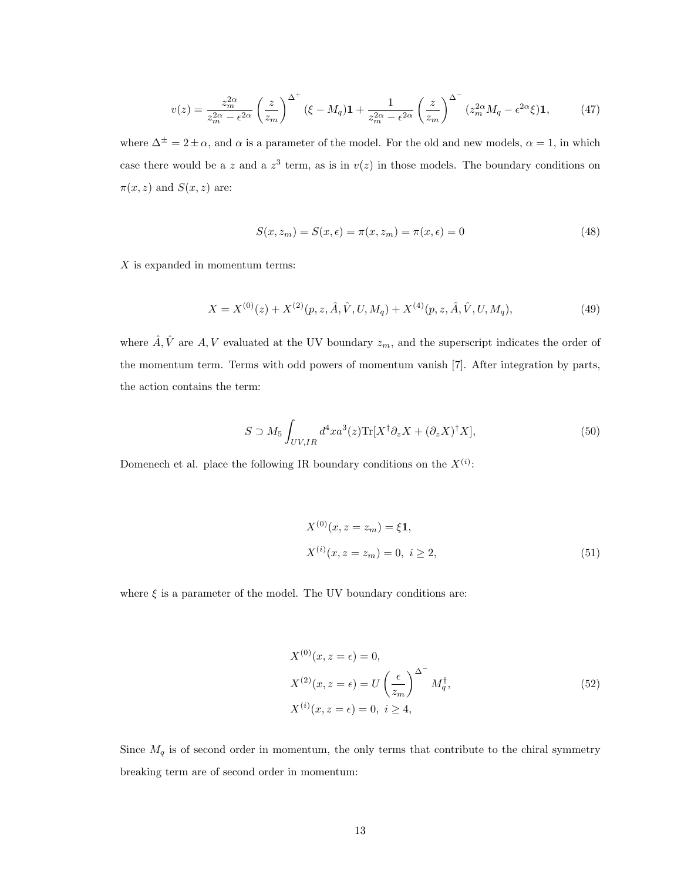$$
v(z) = \frac{z_m^{2\alpha}}{z_m^{2\alpha} - \epsilon^{2\alpha}} \left(\frac{z}{z_m}\right)^{\Delta^+} (\xi - M_q) \mathbf{1} + \frac{1}{z_m^{2\alpha} - \epsilon^{2\alpha}} \left(\frac{z}{z_m}\right)^{\Delta^-} (z_m^{2\alpha} M_q - \epsilon^{2\alpha} \xi) \mathbf{1},\tag{47}
$$

where  $\Delta^{\pm} = 2 \pm \alpha$ , and  $\alpha$  is a parameter of the model. For the old and new models,  $\alpha = 1$ , in which case there would be a z and a  $z<sup>3</sup>$  term, as is in  $v(z)$  in those models. The boundary conditions on  $\pi(x, z)$  and  $S(x, z)$  are:

$$
S(x, z_m) = S(x, \epsilon) = \pi(x, z_m) = \pi(x, \epsilon) = 0
$$
\n
$$
(48)
$$

 $X$  is expanded in momentum terms:

$$
X = X^{(0)}(z) + X^{(2)}(p, z, \hat{A}, \hat{V}, U, M_q) + X^{(4)}(p, z, \hat{A}, \hat{V}, U, M_q), \tag{49}
$$

where  $\hat{A}, \hat{V}$  are  $A, V$  evaluated at the UV boundary  $z_m$ , and the superscript indicates the order of the momentum term. Terms with odd powers of momentum vanish [7]. After integration by parts, the action contains the term:

$$
S \supset M_5 \int_{UV,IR} d^4x a^3(z) \text{Tr}[X^\dagger \partial_z X + (\partial_z X)^\dagger X],\tag{50}
$$

Domenech et al. place the following IR boundary conditions on the  $X^{(i)}$ :

$$
X^{(0)}(x, z = z_m) = \xi \mathbf{1},
$$
  
\n
$$
X^{(i)}(x, z = z_m) = 0, \ i \ge 2,
$$
\n(51)

where  $\xi$  is a parameter of the model. The UV boundary conditions are:

$$
X^{(0)}(x, z = \epsilon) = 0,
$$
  
\n
$$
X^{(2)}(x, z = \epsilon) = U\left(\frac{\epsilon}{z_m}\right)^{\Delta^-} M_q^{\dagger},
$$
  
\n
$$
X^{(i)}(x, z = \epsilon) = 0, i \ge 4,
$$
\n
$$
(52)
$$

Since  $M_q$  is of second order in momentum, the only terms that contribute to the chiral symmetry breaking term are of second order in momentum: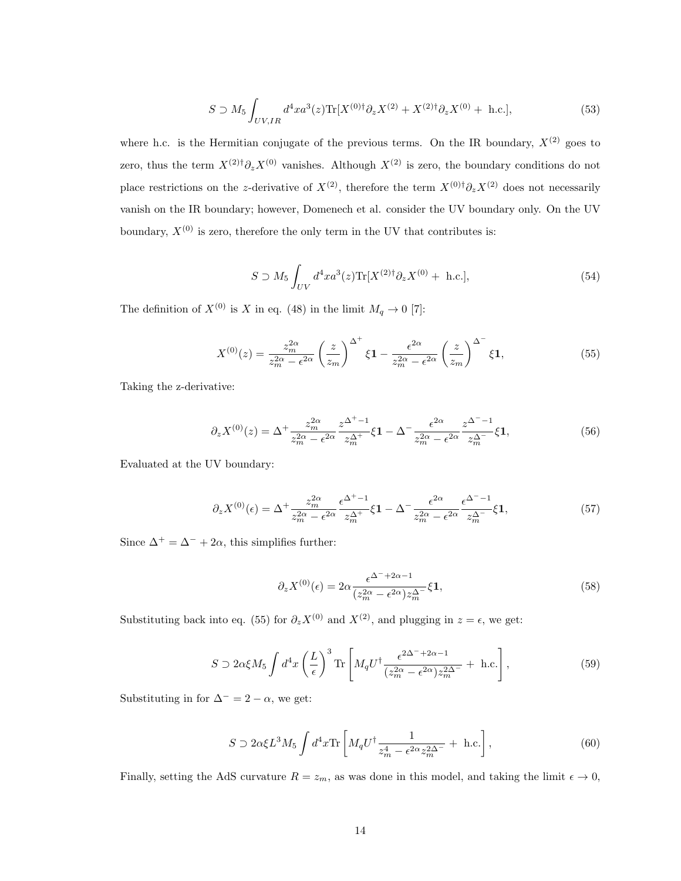$$
S \supset M_5 \int_{UV,IR} d^4x a^3(z) \text{Tr}[X^{(0)\dagger} \partial_z X^{(2)} + X^{(2)\dagger} \partial_z X^{(0)} + \text{ h.c.}], \tag{53}
$$

where h.c. is the Hermitian conjugate of the previous terms. On the IR boundary,  $X^{(2)}$  goes to zero, thus the term  $X^{(2)\dagger} \partial_z X^{(0)}$  vanishes. Although  $X^{(2)}$  is zero, the boundary conditions do not place restrictions on the z-derivative of  $X^{(2)}$ , therefore the term  $X^{(0)\dagger} \partial_z X^{(2)}$  does not necessarily vanish on the IR boundary; however, Domenech et al. consider the UV boundary only. On the UV boundary,  $X^{(0)}$  is zero, therefore the only term in the UV that contributes is:

$$
S \supset M_5 \int_{UV} d^4x a^3(z) \text{Tr}[X^{(2)\dagger} \partial_z X^{(0)} + \text{ h.c.}], \tag{54}
$$

The definition of  $X^{(0)}$  is X in eq. (48) in the limit  $M_q \to 0$  [7]:

$$
X^{(0)}(z) = \frac{z_m^{2\alpha}}{z_m^{2\alpha} - \epsilon^{2\alpha}} \left(\frac{z}{z_m}\right)^{\Delta^+} \xi \mathbf{1} - \frac{\epsilon^{2\alpha}}{z_m^{2\alpha} - \epsilon^{2\alpha}} \left(\frac{z}{z_m}\right)^{\Delta^-} \xi \mathbf{1},\tag{55}
$$

Taking the z-derivative:

$$
\partial_z X^{(0)}(z) = \Delta^+ \frac{z_m^{2\alpha}}{z_m^{2\alpha} - \epsilon^{2\alpha}} \frac{z^{\Delta^+-1}}{z_m^{\Delta^+}} \xi \mathbf{1} - \Delta^- \frac{\epsilon^{2\alpha}}{z_m^{2\alpha} - \epsilon^{2\alpha}} \frac{z^{\Delta^--1}}{z_m^{\Delta^--}} \xi \mathbf{1},\tag{56}
$$

Evaluated at the UV boundary:

$$
\partial_z X^{(0)}(\epsilon) = \Delta^+ \frac{z_m^{2\alpha}}{z_m^{2\alpha} - \epsilon^{2\alpha}} \frac{\epsilon^{\Delta^+-1}}{z_m^{\Delta^+}} \xi \mathbf{1} - \Delta^- \frac{\epsilon^{2\alpha}}{z_m^{2\alpha} - \epsilon^{2\alpha}} \frac{\epsilon^{\Delta^--1}}{z_m^{\Delta^-}} \xi \mathbf{1},\tag{57}
$$

Since  $\Delta^+ = \Delta^- + 2\alpha$ , this simplifies further:

$$
\partial_z X^{(0)}(\epsilon) = 2\alpha \frac{\epsilon^{\Delta^- + 2\alpha - 1}}{(z_m^{2\alpha} - \epsilon^{2\alpha}) z_m^{\Delta^-}} \xi \mathbf{1},\tag{58}
$$

Substituting back into eq. (55) for  $\partial_z X^{(0)}$  and  $X^{(2)}$ , and plugging in  $z = \epsilon$ , we get:

$$
S \supset 2\alpha \xi M_5 \int d^4x \left(\frac{L}{\epsilon}\right)^3 \text{Tr} \left[ M_q U^{\dagger} \frac{\epsilon^{2\Delta^- + 2\alpha - 1}}{(z_m^{2\alpha} - \epsilon^{2\alpha}) z_m^{2\Delta^-}} + \text{ h.c.} \right],\tag{59}
$$

Substituting in for  $\Delta^- = 2 - \alpha$ , we get:

$$
S \supset 2\alpha \xi L^3 M_5 \int d^4 x \text{Tr} \left[ M_q U^{\dagger} \frac{1}{z_m^4 - \epsilon^{2\alpha} z_m^{2\Delta^{-}}} + \text{ h.c.} \right],\tag{60}
$$

Finally, setting the AdS curvature  $R = z_m$ , as was done in this model, and taking the limit  $\epsilon \to 0$ ,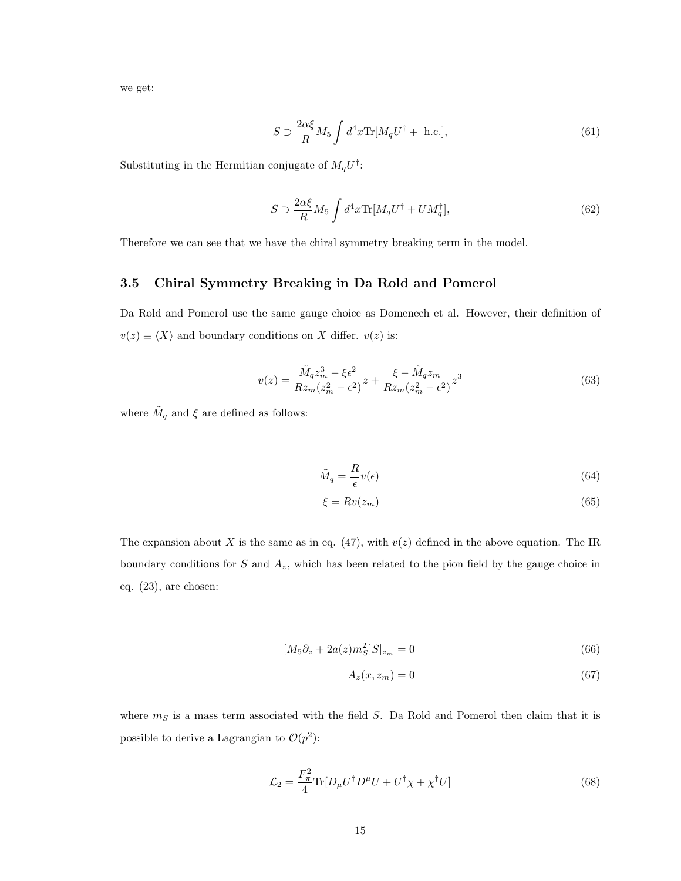we get:

$$
S \supset \frac{2\alpha\xi}{R} M_5 \int d^4x \text{Tr}[M_q U^\dagger + \text{ h.c.}],\tag{61}
$$

Substituting in the Hermitian conjugate of  $M_q U^{\dagger}$ :

$$
S \supset \frac{2\alpha\xi}{R} M_5 \int d^4x \text{Tr}[M_q U^\dagger + U M_q^\dagger],\tag{62}
$$

Therefore we can see that we have the chiral symmetry breaking term in the model.

### 3.5 Chiral Symmetry Breaking in Da Rold and Pomerol

Da Rold and Pomerol use the same gauge choice as Domenech et al. However, their definition of  $v(z) \equiv \langle X \rangle$  and boundary conditions on X differ.  $v(z)$  is:

$$
v(z) = \frac{\tilde{M}_q z_m^3 - \xi \epsilon^2}{R z_m (z_m^2 - \epsilon^2)} z + \frac{\xi - \tilde{M}_q z_m}{R z_m (z_m^2 - \epsilon^2)} z^3
$$
(63)

where  $\tilde{M}_q$  and  $\xi$  are defined as follows:

$$
\tilde{M}_q = \frac{R}{\epsilon} v(\epsilon) \tag{64}
$$

$$
\xi = Rv(z_m) \tag{65}
$$

The expansion about X is the same as in eq. (47), with  $v(z)$  defined in the above equation. The IR boundary conditions for  $S$  and  $A_z$ , which has been related to the pion field by the gauge choice in eq. (23), are chosen:

$$
[M_5 \partial_z + 2a(z)m_S^2]S|_{z_m} = 0 \tag{66}
$$

$$
A_z(x, z_m) = 0 \tag{67}
$$

where  $m<sub>S</sub>$  is a mass term associated with the field S. Da Rold and Pomerol then claim that it is possible to derive a Lagrangian to  $\mathcal{O}(p^2)$ :

$$
\mathcal{L}_2 = \frac{F_\pi^2}{4} \text{Tr} [D_\mu U^\dagger D^\mu U + U^\dagger \chi + \chi^\dagger U] \tag{68}
$$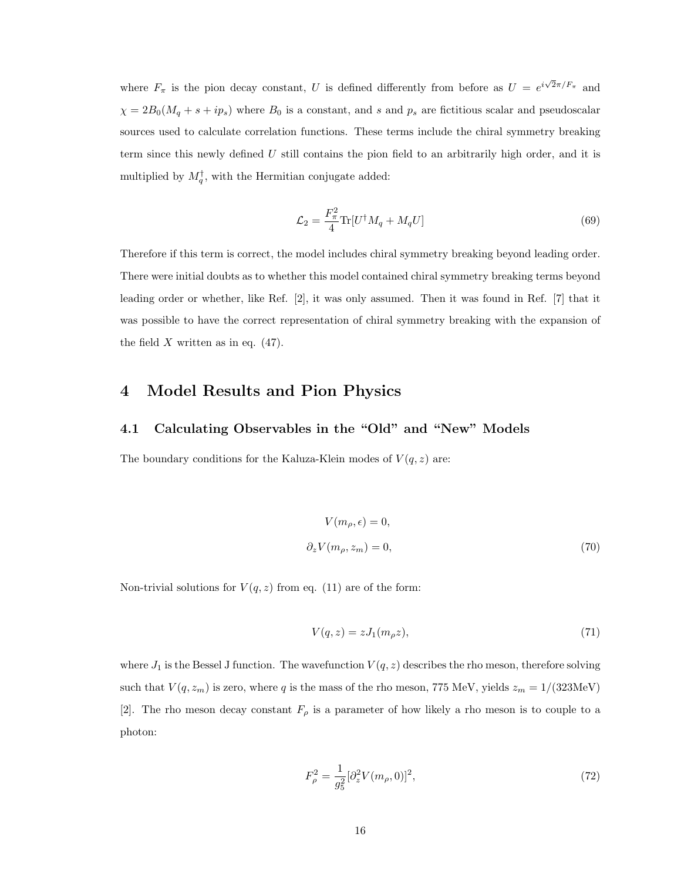where  $F_{\pi}$  is the pion decay constant, U is defined differently from before as  $U = e^{i\sqrt{2}\pi/F_{\pi}}$  and  $\chi = 2B_0(M_q + s + ip_s)$  where  $B_0$  is a constant, and s and  $p_s$  are fictitious scalar and pseudoscalar sources used to calculate correlation functions. These terms include the chiral symmetry breaking term since this newly defined  $U$  still contains the pion field to an arbitrarily high order, and it is multiplied by  $M_q^{\dagger}$ , with the Hermitian conjugate added:

$$
\mathcal{L}_2 = \frac{F_\pi^2}{4} \text{Tr} [U^\dagger M_q + M_q U] \tag{69}
$$

Therefore if this term is correct, the model includes chiral symmetry breaking beyond leading order. There were initial doubts as to whether this model contained chiral symmetry breaking terms beyond leading order or whether, like Ref. [2], it was only assumed. Then it was found in Ref. [7] that it was possible to have the correct representation of chiral symmetry breaking with the expansion of the field X written as in eq.  $(47)$ .

### 4 Model Results and Pion Physics

#### 4.1 Calculating Observables in the "Old" and "New" Models

The boundary conditions for the Kaluza-Klein modes of  $V(q, z)$  are:

$$
V(m_{\rho}, \epsilon) = 0,
$$
  
\n
$$
\partial_z V(m_{\rho}, z_m) = 0,
$$
\n(70)

Non-trivial solutions for  $V(q, z)$  from eq. (11) are of the form:

$$
V(q,z) = zJ_1(m_\rho z),\tag{71}
$$

where  $J_1$  is the Bessel J function. The wavefunction  $V(q, z)$  describes the rho meson, therefore solving such that  $V(q,z_m)$  is zero, where q is the mass of the rho meson, 775 MeV, yields  $z_m = 1/(323 \text{MeV})$ [2]. The rho meson decay constant  $F_{\rho}$  is a parameter of how likely a rho meson is to couple to a photon:

$$
F_{\rho}^{2} = \frac{1}{g_{5}^{2}} [\partial_{z}^{2} V(m_{\rho}, 0)]^{2}, \qquad (72)
$$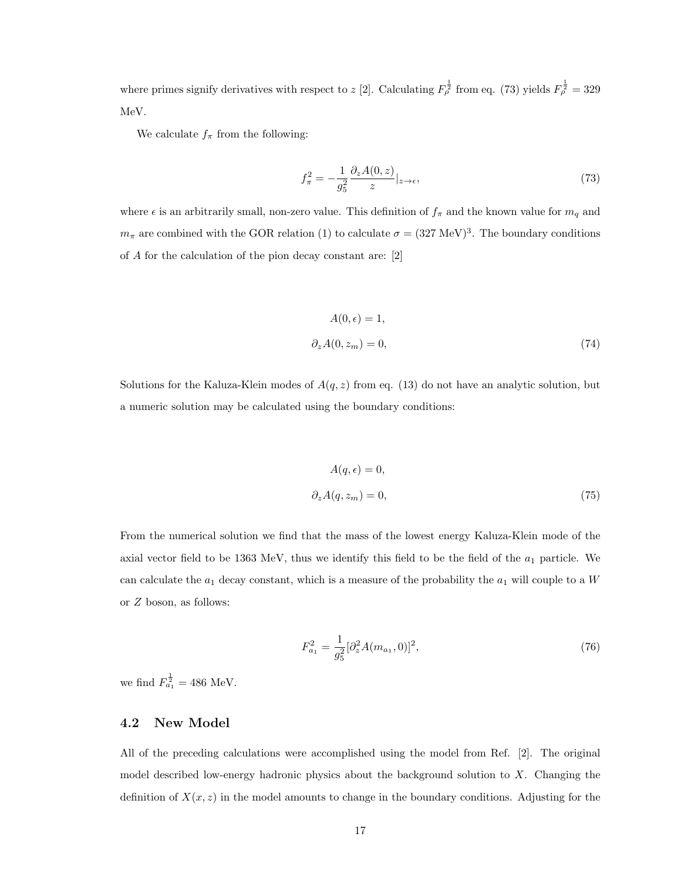where primes signify derivatives with respect to z [2]. Calculating  $F_{\rho}^{\frac{1}{2}}$  from eq. (73) yields  $F_{\rho}^{\frac{1}{2}} = 329$ MeV.

We calculate  $f_{\pi}$  from the following:

$$
f_{\pi}^2 = -\frac{1}{g_5^2} \frac{\partial_z A(0, z)}{z} |_{z \to \epsilon},\tag{73}
$$

where  $\epsilon$  is an arbitrarily small, non-zero value. This definition of  $f_{\pi}$  and the known value for  $m_q$  and  $m_{\pi}$  are combined with the GOR relation (1) to calculate  $\sigma = (327 \text{ MeV})^3$ . The boundary conditions of A for the calculation of the pion decay constant are: [2]

$$
A(0, \epsilon) = 1,
$$
  
\n
$$
\partial_z A(0, z_m) = 0,
$$
\n(74)

Solutions for the Kaluza-Klein modes of  $A(q, z)$  from eq. (13) do not have an analytic solution, but a numeric solution may be calculated using the boundary conditions:

$$
A(q, \epsilon) = 0,
$$
  
\n
$$
\partial_z A(q, z_m) = 0,
$$
\n(75)

From the numerical solution we find that the mass of the lowest energy Kaluza-Klein mode of the axial vector field to be 1363 MeV, thus we identify this field to be the field of the  $a_1$  particle. We can calculate the  $a_1$  decay constant, which is a measure of the probability the  $a_1$  will couple to a W or Z boson, as follows:

$$
F_{a_1}^2 = \frac{1}{g_5^2} [\partial_z^2 A(m_{a_1}, 0)]^2,
$$
\n(76)

we find  $F_{a_1}^{\frac{1}{2}} = 486$  MeV.

#### 4.2 New Model

All of the preceding calculations were accomplished using the model from Ref. [2]. The original model described low-energy hadronic physics about the background solution to X. Changing the definition of  $X(x, z)$  in the model amounts to change in the boundary conditions. Adjusting for the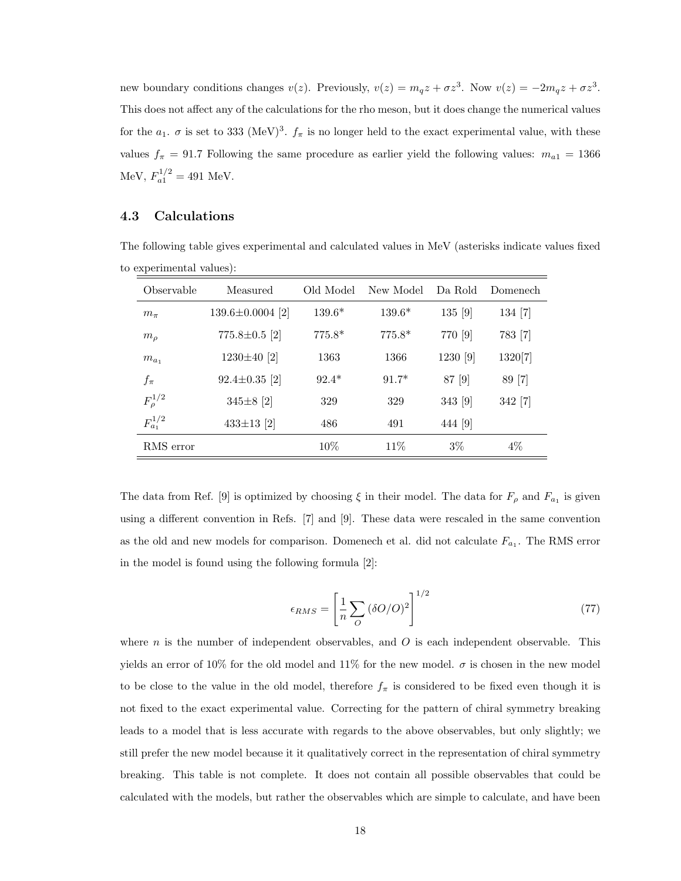new boundary conditions changes  $v(z)$ . Previously,  $v(z) = m_q z + \sigma z^3$ . Now  $v(z) = -2m_q z + \sigma z^3$ . This does not affect any of the calculations for the rho meson, but it does change the numerical values for the  $a_1$ .  $\sigma$  is set to 333 (MeV)<sup>3</sup>.  $f_{\pi}$  is no longer held to the exact experimental value, with these values  $f_{\pi} = 91.7$  Following the same procedure as earlier yield the following values:  $m_{a1} = 1366$ MeV,  $F_{a1}^{1/2} = 491$  MeV.

#### 4.3 Calculations

| Observable       | Measured               | Old Model | New Model | Da Rold  | Domenech |
|------------------|------------------------|-----------|-----------|----------|----------|
| $m_{\pi}$        | $139.6 \pm 0.0004$ [2] | $139.6*$  | $139.6*$  | 135 [9]  | 134 [7]  |
| m <sub>o</sub>   | $775.8 \pm 0.5$ [2]    | $775.8*$  | $775.8*$  | 770 [9]  | 783 [7]  |
| $m_{a_1}$        | 1230 $\pm 40$ [2]      | 1363      | 1366      | 1230 [9] | 1320[7]  |
| $f_{\pi}$        | $92.4 \pm 0.35$ [2]    | $92.4*$   | $91.7*$   | 87 [9]   | 89 [7]   |
| $F^{1/2}_{\rho}$ | $345\pm8$ [2]          | 329       | 329       | 343 [9]  | 342 [7]  |
| $F_{a_1}^{1/2}$  | $433\pm13$ [2]         | 486       | 491       | 444 [9]  |          |
| RMS error        |                        | 10%       | 11%       | $3\%$    | $4\%$    |

The following table gives experimental and calculated values in MeV (asterisks indicate values fixed to experimental values):

The data from Ref. [9] is optimized by choosing  $\xi$  in their model. The data for  $F_{\rho}$  and  $F_{a_1}$  is given using a different convention in Refs. [7] and [9]. These data were rescaled in the same convention as the old and new models for comparison. Domenech et al. did not calculate  $F_{a_1}$ . The RMS error in the model is found using the following formula [2]:

$$
\epsilon_{RMS} = \left[\frac{1}{n} \sum_{O} (\delta O/O)^2\right]^{1/2} \tag{77}
$$

where n is the number of independent observables, and  $O$  is each independent observable. This yields an error of 10% for the old model and 11% for the new model.  $\sigma$  is chosen in the new model to be close to the value in the old model, therefore  $f_{\pi}$  is considered to be fixed even though it is not fixed to the exact experimental value. Correcting for the pattern of chiral symmetry breaking leads to a model that is less accurate with regards to the above observables, but only slightly; we still prefer the new model because it it qualitatively correct in the representation of chiral symmetry breaking. This table is not complete. It does not contain all possible observables that could be calculated with the models, but rather the observables which are simple to calculate, and have been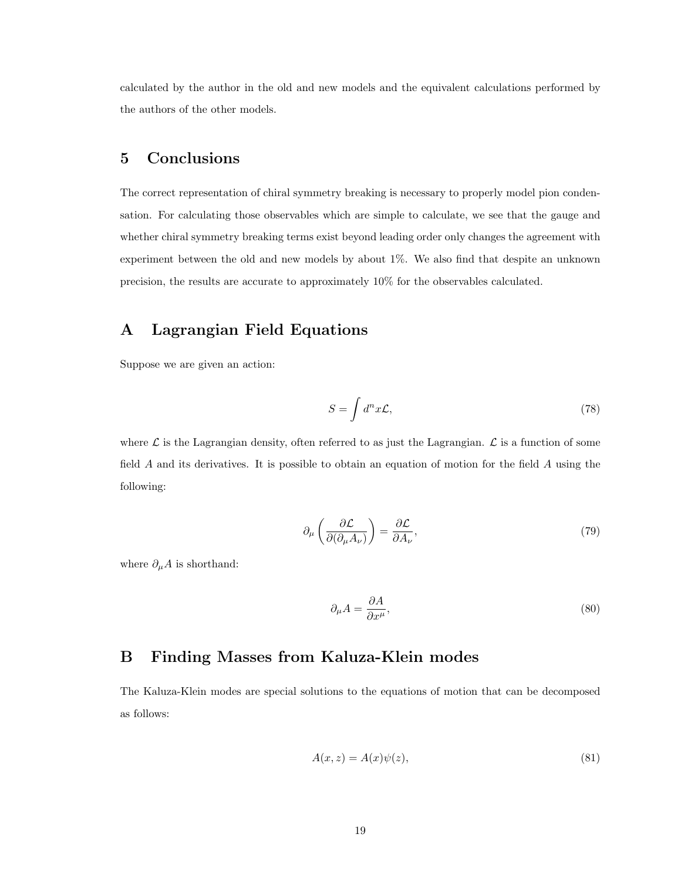calculated by the author in the old and new models and the equivalent calculations performed by the authors of the other models.

### 5 Conclusions

The correct representation of chiral symmetry breaking is necessary to properly model pion condensation. For calculating those observables which are simple to calculate, we see that the gauge and whether chiral symmetry breaking terms exist beyond leading order only changes the agreement with experiment between the old and new models by about 1%. We also find that despite an unknown precision, the results are accurate to approximately 10% for the observables calculated.

### A Lagrangian Field Equations

Suppose we are given an action:

$$
S = \int d^n x \mathcal{L},\tag{78}
$$

where  $\mathcal L$  is the Lagrangian density, often referred to as just the Lagrangian.  $\mathcal L$  is a function of some field A and its derivatives. It is possible to obtain an equation of motion for the field A using the following:

$$
\partial_{\mu} \left( \frac{\partial \mathcal{L}}{\partial (\partial_{\mu} A_{\nu})} \right) = \frac{\partial \mathcal{L}}{\partial A_{\nu}},\tag{79}
$$

where  $\partial_{\mu}A$  is shorthand:

$$
\partial_{\mu}A = \frac{\partial A}{\partial x^{\mu}},\tag{80}
$$

## B Finding Masses from Kaluza-Klein modes

The Kaluza-Klein modes are special solutions to the equations of motion that can be decomposed as follows:

$$
A(x, z) = A(x)\psi(z),\tag{81}
$$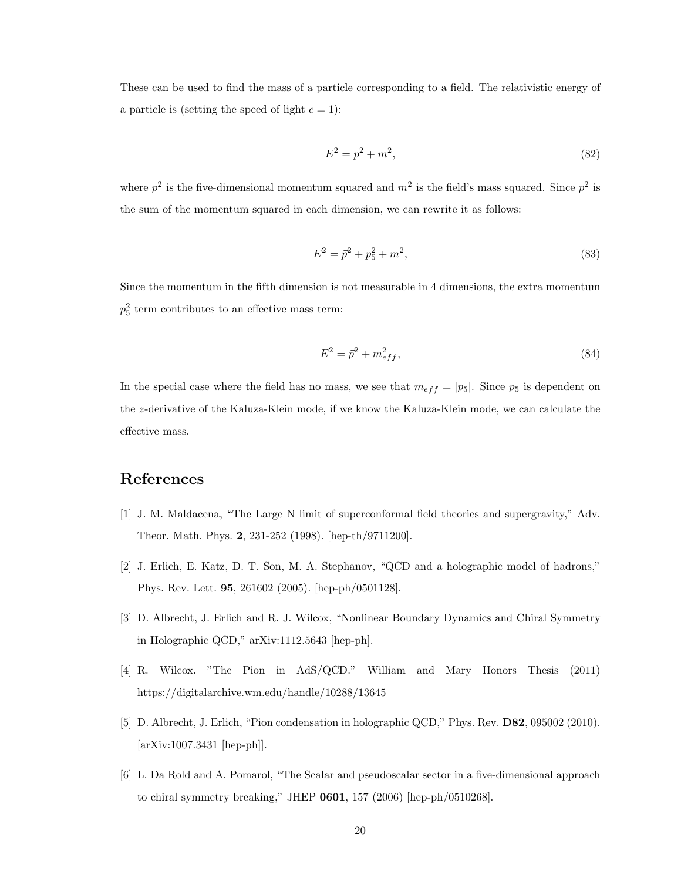These can be used to find the mass of a particle corresponding to a field. The relativistic energy of a particle is (setting the speed of light  $c = 1$ ):

$$
E^2 = p^2 + m^2,\t\t(82)
$$

where  $p^2$  is the five-dimensional momentum squared and  $m^2$  is the field's mass squared. Since  $p^2$  is the sum of the momentum squared in each dimension, we can rewrite it as follows:

$$
E^2 = \vec{p}^2 + p_5^2 + m^2,\tag{83}
$$

Since the momentum in the fifth dimension is not measurable in 4 dimensions, the extra momentum  $p_5^2$  term contributes to an effective mass term:

$$
E^2 = \vec{p}^2 + m_{eff}^2,\tag{84}
$$

In the special case where the field has no mass, we see that  $m_{eff} = |p_5|$ . Since  $p_5$  is dependent on the z-derivative of the Kaluza-Klein mode, if we know the Kaluza-Klein mode, we can calculate the effective mass.

### References

- [1] J. M. Maldacena, "The Large N limit of superconformal field theories and supergravity," Adv. Theor. Math. Phys. 2, 231-252 (1998). [hep-th/9711200].
- [2] J. Erlich, E. Katz, D. T. Son, M. A. Stephanov, "QCD and a holographic model of hadrons," Phys. Rev. Lett. 95, 261602 (2005). [hep-ph/0501128].
- [3] D. Albrecht, J. Erlich and R. J. Wilcox, "Nonlinear Boundary Dynamics and Chiral Symmetry in Holographic QCD," arXiv:1112.5643 [hep-ph].
- [4] R. Wilcox. "The Pion in AdS/QCD." William and Mary Honors Thesis (2011) https://digitalarchive.wm.edu/handle/10288/13645
- [5] D. Albrecht, J. Erlich, "Pion condensation in holographic QCD," Phys. Rev. D82, 095002 (2010). [arXiv:1007.3431 [hep-ph]].
- [6] L. Da Rold and A. Pomarol, "The Scalar and pseudoscalar sector in a five-dimensional approach to chiral symmetry breaking," JHEP 0601, 157 (2006) [hep-ph/0510268].